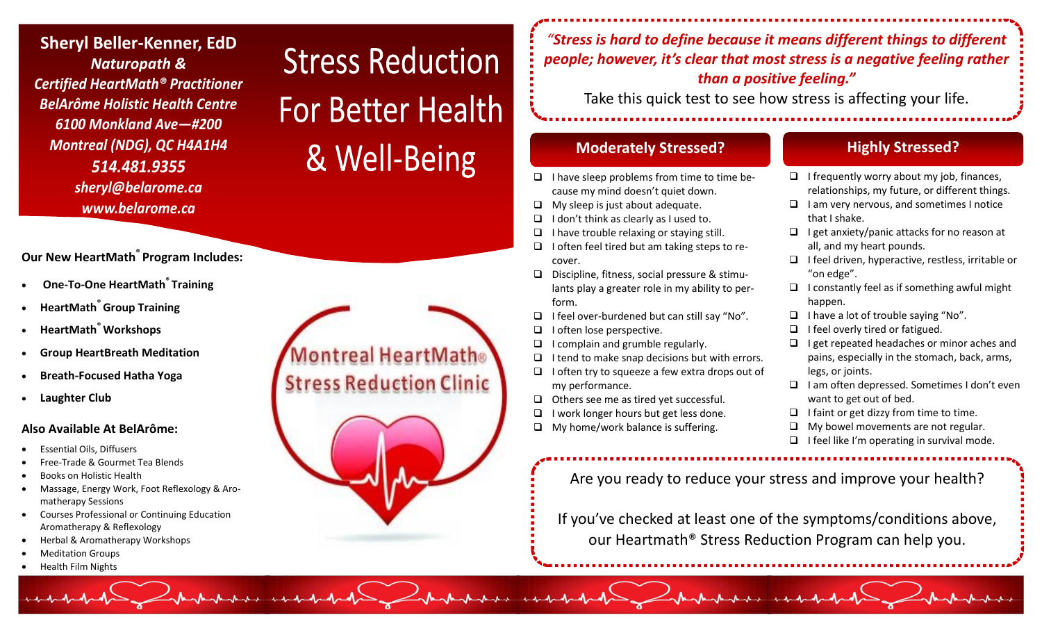**Sheryl Beller -Kenner, EdD** *Naturopath & Certified HeartMath® Practitioner BelArôme Holistic Health Centre 6100 Monkland Ave —#200 Montreal (NDG), QC H4A1H4 514.481.9355 sheryl@belarome.ca www.belarome.ca*

# **Our New HeartMath® Program Includes:**

- **One-To-One HeartMath® Training**
- **HeartMath® Group Training**
- **HeartMath® Workshops**
- **Group HeartBreath Meditation**
- **Breath-Focused Hatha Yoga**
- **Laughter Club**

# **Also Available At BelArôme:**

- Essential Oils, Diffusers
- Free-Trade & Gourmet Tea Blends
- Books on Holistic Health
- Massage, Energy Work, Foot Reflexology & Aromatherapy Sessions
- Courses Professional or Continuing Education Aromatherapy & Reflexology
- Herbal & Aromatherapy Workshops
- Meditation Groups
- Health Film Nights

# Montreal HeartMath® **Stress Reduction Clinic**

**Stress Reduction** 

**For Better Health** 

& Well-Being



*"Stress is hard to define because it means different things to different people; however, it's clear that most stress is a negative feeling rather than a positive feeling."* 

Take this quick test to see how stress is affecting your life.

# **Moderately Stressed? Highly Stressed?**

- $\Box$  I have sleep problems from time to time because my mind doesn't quiet down.
- $\Box$  My sleep is just about adequate.
- $\Box$  I don't think as clearly as I used to.
- $\Box$  I have trouble relaxing or staying still.
- $\Box$  I often feel tired but am taking steps to recover.
- Discipline, fitness, social pressure & stimulants play a greater role in my ability to perform.
- $\Box$  I feel over-burdened but can still say "No".
- $\Box$  I often lose perspective.
- $\Box$  I complain and grumble regularly.
- $\Box$  I tend to make snap decisions but with errors.
- $\Box$  I often try to squeeze a few extra drops out of my performance.
- $\Box$  Others see me as tired yet successful.
- $\Box$  I work longer hours but get less done.
- $\Box$  My home/work balance is suffering.

- $\Box$  I frequently worry about my job, finances, relationships, my future, or different things.
- $\Box$  I am very nervous, and sometimes I notice that I shake.
- $\Box$  I get anxiety/panic attacks for no reason at all, and my heart pounds.
- $\Box$  I feel driven, hyperactive, restless, irritable or "on edge".
- $\Box$  I constantly feel as if something awful might happen.
- $\Box$  I have a lot of trouble saying "No".
- $\Box$  I feel overly tired or fatigued.
- $\Box$  I get repeated headaches or minor aches and pains, especially in the stomach, back, arms, legs, or joints.
- $\Box$  I am often depressed. Sometimes I don't even want to get out of bed.
- $\Box$  I faint or get dizzy from time to time.
- $\Box$  My bowel movements are not regular.
- $\Box$  I feel like I'm operating in survival mode.

Are you ready to reduce your stress and improve your health?

If you've checked at least one of the symptoms/conditions above, our Heartmath® Stress Reduction Program can help you.